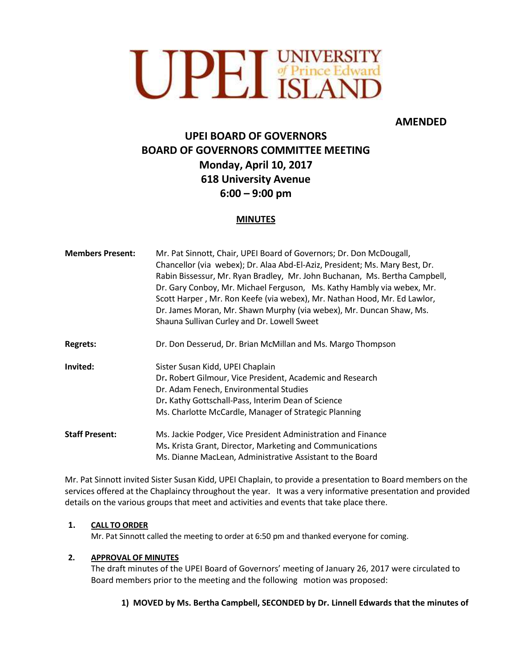

# **AMENDED**

# **UPEI BOARD OF GOVERNORS BOARD OF GOVERNORS COMMITTEE MEETING Monday, April 10, 2017 618 University Avenue 6:00 – 9:00 pm**

## **MINUTES**

| <b>Members Present:</b> | Mr. Pat Sinnott, Chair, UPEI Board of Governors; Dr. Don McDougall,<br>Chancellor (via webex); Dr. Alaa Abd-El-Aziz, President; Ms. Mary Best, Dr.<br>Rabin Bissessur, Mr. Ryan Bradley, Mr. John Buchanan, Ms. Bertha Campbell,<br>Dr. Gary Conboy, Mr. Michael Ferguson, Ms. Kathy Hambly via webex, Mr.<br>Scott Harper, Mr. Ron Keefe (via webex), Mr. Nathan Hood, Mr. Ed Lawlor,<br>Dr. James Moran, Mr. Shawn Murphy (via webex), Mr. Duncan Shaw, Ms.<br>Shauna Sullivan Curley and Dr. Lowell Sweet |
|-------------------------|--------------------------------------------------------------------------------------------------------------------------------------------------------------------------------------------------------------------------------------------------------------------------------------------------------------------------------------------------------------------------------------------------------------------------------------------------------------------------------------------------------------|
| <b>Regrets:</b>         | Dr. Don Desserud, Dr. Brian McMillan and Ms. Margo Thompson                                                                                                                                                                                                                                                                                                                                                                                                                                                  |
| Invited:                | Sister Susan Kidd, UPEI Chaplain<br>Dr. Robert Gilmour, Vice President, Academic and Research<br>Dr. Adam Fenech, Environmental Studies<br>Dr. Kathy Gottschall-Pass, Interim Dean of Science<br>Ms. Charlotte McCardle, Manager of Strategic Planning                                                                                                                                                                                                                                                       |
| <b>Staff Present:</b>   | Ms. Jackie Podger, Vice President Administration and Finance<br>Ms. Krista Grant, Director, Marketing and Communications<br>Ms. Dianne MacLean, Administrative Assistant to the Board                                                                                                                                                                                                                                                                                                                        |

Mr. Pat Sinnott invited Sister Susan Kidd, UPEI Chaplain, to provide a presentation to Board members on the services offered at the Chaplaincy throughout the year. It was a very informative presentation and provided details on the various groups that meet and activities and events that take place there.

## **1. CALL TO ORDER**

Mr. Pat Sinnott called the meeting to order at 6:50 pm and thanked everyone for coming.

## **2. APPROVAL OF MINUTES**

The draft minutes of the UPEI Board of Governors' meeting of January 26, 2017 were circulated to Board members prior to the meeting and the following motion was proposed:

## **1) MOVED by Ms. Bertha Campbell, SECONDED by Dr. Linnell Edwards that the minutes of**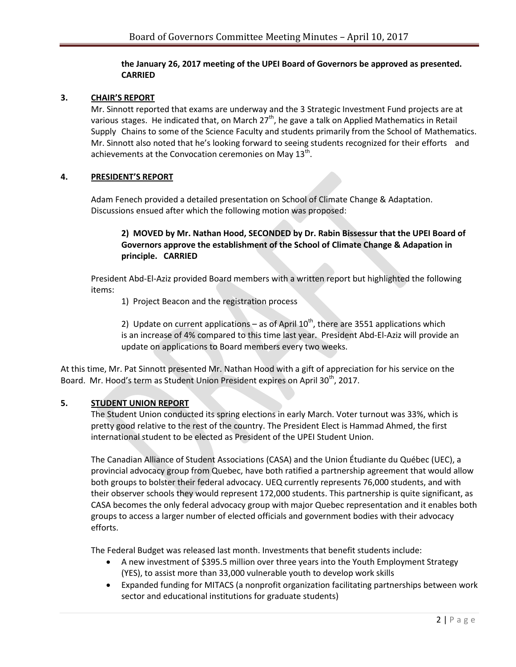#### **the January 26, 2017 meeting of the UPEI Board of Governors be approved as presented. CARRIED**

#### **3. CHAIR'S REPORT**

Mr. Sinnott reported that exams are underway and the 3 Strategic Investment Fund projects are at various stages. He indicated that, on March 27<sup>th</sup>, he gave a talk on Applied Mathematics in Retail Supply Chains to some of the Science Faculty and students primarily from the School of Mathematics. Mr. Sinnott also noted that he's looking forward to seeing students recognized for their efforts and achievements at the Convocation ceremonies on May  $13^{\text{th}}$ .

#### **4. PRESIDENT'S REPORT**

Adam Fenech provided a detailed presentation on School of Climate Change & Adaptation. Discussions ensued after which the following motion was proposed:

## **2) MOVED by Mr. Nathan Hood, SECONDED by Dr. Rabin Bissessur that the UPEI Board of Governors approve the establishment of the School of Climate Change & Adapation in principle. CARRIED**

President Abd-El-Aziz provided Board members with a written report but highlighted the following items:

1) Project Beacon and the registration process

2) Update on current applications – as of April  $10^{th}$ , there are 3551 applications which is an increase of 4% compared to this time last year. President Abd-El-Aziz will provide an update on applications to Board members every two weeks.

At this time, Mr. Pat Sinnott presented Mr. Nathan Hood with a gift of appreciation for his service on the Board. Mr. Hood's term as Student Union President expires on April 30<sup>th</sup>, 2017.

## **5. STUDENT UNION REPORT**

The Student Union conducted its spring elections in early March. Voter turnout was 33%, which is pretty good relative to the rest of the country. The President Elect is Hammad Ahmed, the first international student to be elected as President of the UPEI Student Union.

The Canadian Alliance of Student Associations (CASA) and the Union Étudiante du Québec (UEC), a provincial advocacy group from Quebec, have both ratified a partnership agreement that would allow both groups to bolster their federal advocacy. UEQ currently represents 76,000 students, and with their observer schools they would represent 172,000 students. This partnership is quite significant, as CASA becomes the only federal advocacy group with major Quebec representation and it enables both groups to access a larger number of elected officials and government bodies with their advocacy efforts.

The Federal Budget was released last month. Investments that benefit students include:

- A new investment of \$395.5 million over three years into the Youth Employment Strategy (YES), to assist more than 33,000 vulnerable youth to develop work skills
- Expanded funding for MITACS (a nonprofit organization facilitating partnerships between work sector and educational institutions for graduate students)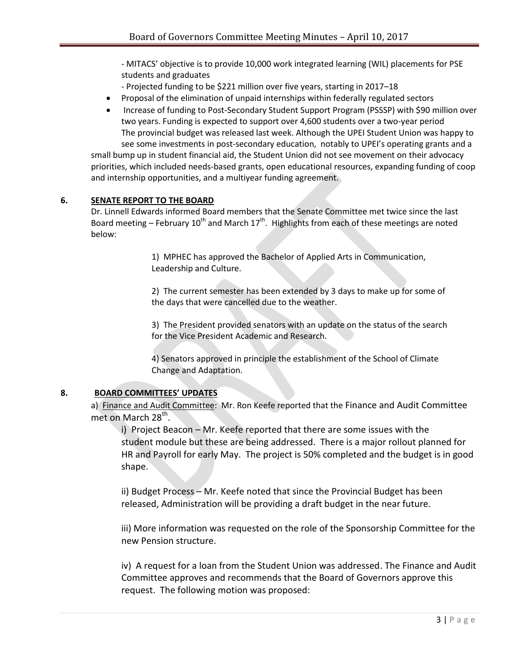- MITACS' objective is to provide 10,000 work integrated learning (WIL) placements for PSE students and graduates

- Projected funding to be \$221 million over five years, starting in 2017–18

- Proposal of the elimination of unpaid internships within federally regulated sectors
- Increase of funding to Post-Secondary Student Support Program (PSSSP) with \$90 million over two years. Funding is expected to support over 4,600 students over a two-year period The provincial budget was released last week. Although the UPEI Student Union was happy to see some investments in post-secondary education, notably to UPEI's operating grants and a

small bump up in student financial aid, the Student Union did not see movement on their advocacy priorities, which included needs-based grants, open educational resources, expanding funding of coop and internship opportunities, and a multiyear funding agreement.

#### **6. SENATE REPORT TO THE BOARD**

Dr. Linnell Edwards informed Board members that the Senate Committee met twice since the last Board meeting – February 10<sup>th</sup> and March 17<sup>th</sup>. Highlights from each of these meetings are noted below:

> 1) MPHEC has approved the Bachelor of Applied Arts in Communication, Leadership and Culture.

2) The current semester has been extended by 3 days to make up for some of the days that were cancelled due to the weather.

3) The President provided senators with an update on the status of the search for the Vice President Academic and Research.

4) Senators approved in principle the establishment of the School of Climate Change and Adaptation.

## **8. BOARD COMMITTEES' UPDATES**

a) Finance and Audit Committee: Mr. Ron Keefe reported that the Finance and Audit Committee met on March 28<sup>th</sup>.

i) Project Beacon – Mr. Keefe reported that there are some issues with the student module but these are being addressed. There is a major rollout planned for HR and Payroll for early May. The project is 50% completed and the budget is in good shape.

ii) Budget Process – Mr. Keefe noted that since the Provincial Budget has been released, Administration will be providing a draft budget in the near future.

iii) More information was requested on the role of the Sponsorship Committee for the new Pension structure.

iv) A request for a loan from the Student Union was addressed. The Finance and Audit Committee approves and recommends that the Board of Governors approve this request. The following motion was proposed: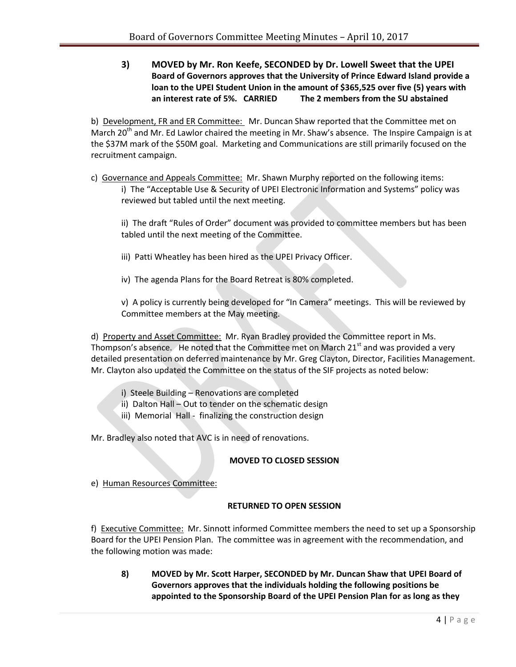**3) MOVED by Mr. Ron Keefe, SECONDED by Dr. Lowell Sweet that the UPEI Board of Governors approves that the University of Prince Edward Island provide a loan to the UPEI Student Union in the amount of \$365,525 over five (5) years with an interest rate of 5%. CARRIED The 2 members from the SU abstained**

b) Development, FR and ER Committee: Mr. Duncan Shaw reported that the Committee met on March 20<sup>th</sup> and Mr. Ed Lawlor chaired the meeting in Mr. Shaw's absence. The Inspire Campaign is at the \$37M mark of the \$50M goal. Marketing and Communications are still primarily focused on the recruitment campaign.

c) Governance and Appeals Committee: Mr. Shawn Murphy reported on the following items: i) The "Acceptable Use & Security of UPEI Electronic Information and Systems" policy was reviewed but tabled until the next meeting.

ii) The draft "Rules of Order" document was provided to committee members but has been tabled until the next meeting of the Committee.

- iii) Patti Wheatley has been hired as the UPEI Privacy Officer.
- iv) The agenda Plans for the Board Retreat is 80% completed.

v) A policy is currently being developed for "In Camera" meetings. This will be reviewed by Committee members at the May meeting.

d) Property and Asset Committee: Mr. Ryan Bradley provided the Committee report in Ms. Thompson's absence. He noted that the Committee met on March  $21<sup>st</sup>$  and was provided a very detailed presentation on deferred maintenance by Mr. Greg Clayton, Director, Facilities Management. Mr. Clayton also updated the Committee on the status of the SIF projects as noted below:

- i) Steele Building Renovations are completed
- ii) Dalton Hall Out to tender on the schematic design
- iii) Memorial Hall finalizing the construction design

Mr. Bradley also noted that AVC is in need of renovations.

## **MOVED TO CLOSED SESSION**

e) Human Resources Committee:

## **RETURNED TO OPEN SESSION**

f) Executive Committee: Mr. Sinnott informed Committee members the need to set up a Sponsorship Board for the UPEI Pension Plan. The committee was in agreement with the recommendation, and the following motion was made:

**8) MOVED by Mr. Scott Harper, SECONDED by Mr. Duncan Shaw that UPEI Board of Governors approves that the individuals holding the following positions be appointed to the Sponsorship Board of the UPEI Pension Plan for as long as they**